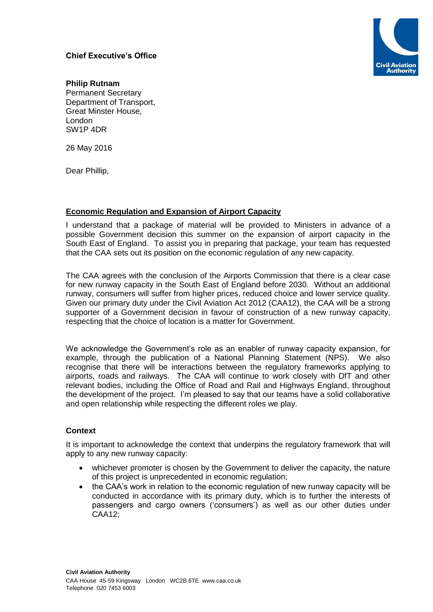# **Chief Executive's Office**



**Philip Rutnam** Permanent Secretary Department of Transport, Great Minster House, London SW1P 4DR

26 May 2016

Dear Phillip,

## **Economic Regulation and Expansion of Airport Capacity**

I understand that a package of material will be provided to Ministers in advance of a possible Government decision this summer on the expansion of airport capacity in the South East of England. To assist you in preparing that package, your team has requested that the CAA sets out its position on the economic regulation of any new capacity.

The CAA agrees with the conclusion of the Airports Commission that there is a clear case for new runway capacity in the South East of England before 2030. Without an additional runway, consumers will suffer from higher prices, reduced choice and lower service quality. Given our primary duty under the Civil Aviation Act 2012 (CAA12), the CAA will be a strong supporter of a Government decision in favour of construction of a new runway capacity, respecting that the choice of location is a matter for Government.

We acknowledge the Government's role as an enabler of runway capacity expansion, for example, through the publication of a National Planning Statement (NPS). We also recognise that there will be interactions between the regulatory frameworks applying to airports, roads and railways. The CAA will continue to work closely with DfT and other relevant bodies, including the Office of Road and Rail and Highways England, throughout the development of the project. I'm pleased to say that our teams have a solid collaborative and open relationship while respecting the different roles we play.

## **Context**

It is important to acknowledge the context that underpins the regulatory framework that will apply to any new runway capacity:

- whichever promoter is chosen by the Government to deliver the capacity, the nature of this project is unprecedented in economic regulation;
- the CAA's work in relation to the economic regulation of new runway capacity will be conducted in accordance with its primary duty, which is to further the interests of passengers and cargo owners ('consumers') as well as our other duties under CAA12;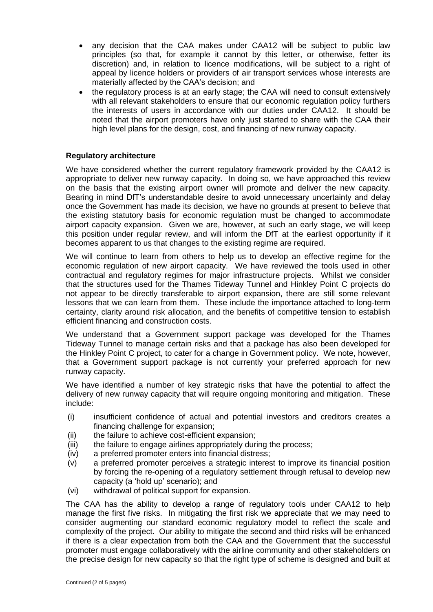- any decision that the CAA makes under CAA12 will be subject to public law principles (so that, for example it cannot by this letter, or otherwise, fetter its discretion) and, in relation to licence modifications, will be subject to a right of appeal by licence holders or providers of air transport services whose interests are materially affected by the CAA's decision; and
- the regulatory process is at an early stage; the CAA will need to consult extensively with all relevant stakeholders to ensure that our economic regulation policy furthers the interests of users in accordance with our duties under CAA12. It should be noted that the airport promoters have only just started to share with the CAA their high level plans for the design, cost, and financing of new runway capacity.

## **Regulatory architecture**

We have considered whether the current regulatory framework provided by the CAA12 is appropriate to deliver new runway capacity. In doing so, we have approached this review on the basis that the existing airport owner will promote and deliver the new capacity. Bearing in mind DfT's understandable desire to avoid unnecessary uncertainty and delay once the Government has made its decision, we have no grounds at present to believe that the existing statutory basis for economic regulation must be changed to accommodate airport capacity expansion. Given we are, however, at such an early stage, we will keep this position under regular review, and will inform the DfT at the earliest opportunity if it becomes apparent to us that changes to the existing regime are required.

We will continue to learn from others to help us to develop an effective regime for the economic regulation of new airport capacity. We have reviewed the tools used in other contractual and regulatory regimes for major infrastructure projects. Whilst we consider that the structures used for the Thames Tideway Tunnel and Hinkley Point C projects do not appear to be directly transferable to airport expansion, there are still some relevant lessons that we can learn from them. These include the importance attached to long-term certainty, clarity around risk allocation, and the benefits of competitive tension to establish efficient financing and construction costs.

We understand that a Government support package was developed for the Thames Tideway Tunnel to manage certain risks and that a package has also been developed for the Hinkley Point C project, to cater for a change in Government policy. We note, however, that a Government support package is not currently your preferred approach for new runway capacity.

We have identified a number of key strategic risks that have the potential to affect the delivery of new runway capacity that will require ongoing monitoring and mitigation. These include:

- (i) insufficient confidence of actual and potential investors and creditors creates a financing challenge for expansion;
- (ii) the failure to achieve cost-efficient expansion;
- (iii) the failure to engage airlines appropriately during the process;
- (iv) a preferred promoter enters into financial distress;
- (v) a preferred promoter perceives a strategic interest to improve its financial position by forcing the re-opening of a regulatory settlement through refusal to develop new capacity (a 'hold up' scenario); and
- (vi) withdrawal of political support for expansion.

The CAA has the ability to develop a range of regulatory tools under CAA12 to help manage the first five risks. In mitigating the first risk we appreciate that we may need to consider augmenting our standard economic regulatory model to reflect the scale and complexity of the project. Our ability to mitigate the second and third risks will be enhanced if there is a clear expectation from both the CAA and the Government that the successful promoter must engage collaboratively with the airline community and other stakeholders on the precise design for new capacity so that the right type of scheme is designed and built at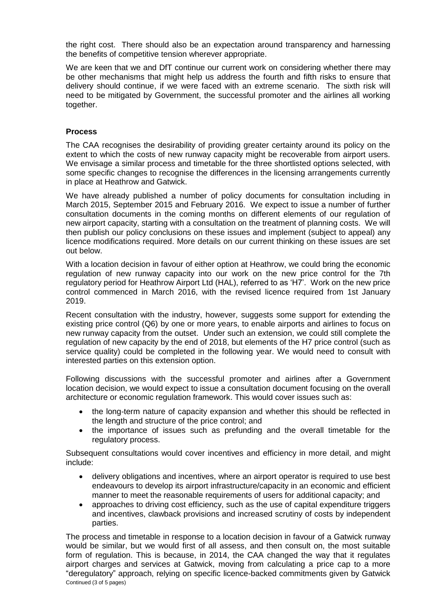the right cost. There should also be an expectation around transparency and harnessing the benefits of competitive tension wherever appropriate.

We are keen that we and DfT continue our current work on considering whether there may be other mechanisms that might help us address the fourth and fifth risks to ensure that delivery should continue, if we were faced with an extreme scenario. The sixth risk will need to be mitigated by Government, the successful promoter and the airlines all working together.

#### **Process**

The CAA recognises the desirability of providing greater certainty around its policy on the extent to which the costs of new runway capacity might be recoverable from airport users. We envisage a similar process and timetable for the three shortlisted options selected, with some specific changes to recognise the differences in the licensing arrangements currently in place at Heathrow and Gatwick.

We have already published a number of policy documents for consultation including in March 2015, September 2015 and February 2016. We expect to issue a number of further consultation documents in the coming months on different elements of our regulation of new airport capacity, starting with a consultation on the treatment of planning costs. We will then publish our policy conclusions on these issues and implement (subject to appeal) any licence modifications required. More details on our current thinking on these issues are set out below.

With a location decision in favour of either option at Heathrow, we could bring the economic regulation of new runway capacity into our work on the new price control for the 7th regulatory period for Heathrow Airport Ltd (HAL), referred to as 'H7'. Work on the new price control commenced in March 2016, with the revised licence required from 1st January 2019.

Recent consultation with the industry, however, suggests some support for extending the existing price control (Q6) by one or more years, to enable airports and airlines to focus on new runway capacity from the outset. Under such an extension, we could still complete the regulation of new capacity by the end of 2018, but elements of the H7 price control (such as service quality) could be completed in the following year. We would need to consult with interested parties on this extension option.

Following discussions with the successful promoter and airlines after a Government location decision, we would expect to issue a consultation document focusing on the overall architecture or economic regulation framework. This would cover issues such as:

- the long-term nature of capacity expansion and whether this should be reflected in the length and structure of the price control; and
- the importance of issues such as prefunding and the overall timetable for the regulatory process.

Subsequent consultations would cover incentives and efficiency in more detail, and might include:

- delivery obligations and incentives, where an airport operator is required to use best endeavours to develop its airport infrastructure/capacity in an economic and efficient manner to meet the reasonable requirements of users for additional capacity; and
- approaches to driving cost efficiency, such as the use of capital expenditure triggers and incentives, clawback provisions and increased scrutiny of costs by independent parties.

Continued (3 of 5 pages) The process and timetable in response to a location decision in favour of a Gatwick runway would be similar, but we would first of all assess, and then consult on, the most suitable form of regulation. This is because, in 2014, the CAA changed the way that it regulates airport charges and services at Gatwick, moving from calculating a price cap to a more "deregulatory" approach, relying on specific licence-backed commitments given by Gatwick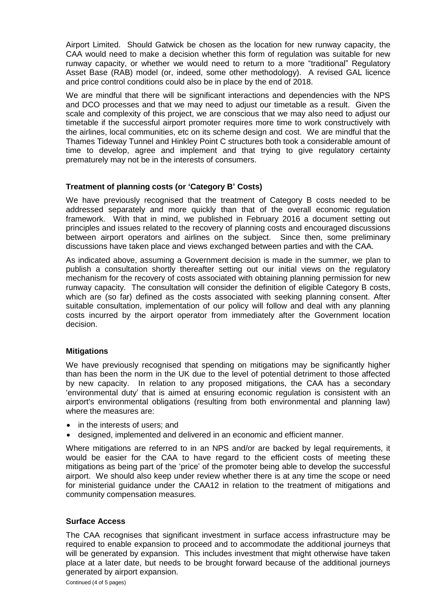Airport Limited. Should Gatwick be chosen as the location for new runway capacity, the CAA would need to make a decision whether this form of regulation was suitable for new runway capacity, or whether we would need to return to a more "traditional" Regulatory Asset Base (RAB) model (or, indeed, some other methodology). A revised GAL licence and price control conditions could also be in place by the end of 2018.

We are mindful that there will be significant interactions and dependencies with the NPS and DCO processes and that we may need to adjust our timetable as a result. Given the scale and complexity of this project, we are conscious that we may also need to adjust our timetable if the successful airport promoter requires more time to work constructively with the airlines, local communities, etc on its scheme design and cost. We are mindful that the Thames Tideway Tunnel and Hinkley Point C structures both took a considerable amount of time to develop, agree and implement and that trying to give regulatory certainty prematurely may not be in the interests of consumers.

### **Treatment of planning costs (or 'Category B' Costs)**

We have previously recognised that the treatment of Category B costs needed to be addressed separately and more quickly than that of the overall economic regulation framework. With that in mind, we published in February 2016 a document setting out principles and issues related to the recovery of planning costs and encouraged discussions between airport operators and airlines on the subject. Since then, some preliminary discussions have taken place and views exchanged between parties and with the CAA.

As indicated above, assuming a Government decision is made in the summer, we plan to publish a consultation shortly thereafter setting out our initial views on the regulatory mechanism for the recovery of costs associated with obtaining planning permission for new runway capacity. The consultation will consider the definition of eligible Category B costs, which are (so far) defined as the costs associated with seeking planning consent. After suitable consultation, implementation of our policy will follow and deal with any planning costs incurred by the airport operator from immediately after the Government location decision.

## **Mitigations**

We have previously recognised that spending on mitigations may be significantly higher than has been the norm in the UK due to the level of potential detriment to those affected by new capacity. In relation to any proposed mitigations, the CAA has a secondary 'environmental duty' that is aimed at ensuring economic regulation is consistent with an airport's environmental obligations (resulting from both environmental and planning law) where the measures are:

- in the interests of users; and
- designed, implemented and delivered in an economic and efficient manner.

Where mitigations are referred to in an NPS and/or are backed by legal requirements, it would be easier for the CAA to have regard to the efficient costs of meeting these mitigations as being part of the 'price' of the promoter being able to develop the successful airport. We should also keep under review whether there is at any time the scope or need for ministerial guidance under the CAA12 in relation to the treatment of mitigations and community compensation measures.

#### **Surface Access**

The CAA recognises that significant investment in surface access infrastructure may be required to enable expansion to proceed and to accommodate the additional journeys that will be generated by expansion. This includes investment that might otherwise have taken place at a later date, but needs to be brought forward because of the additional journeys generated by airport expansion.